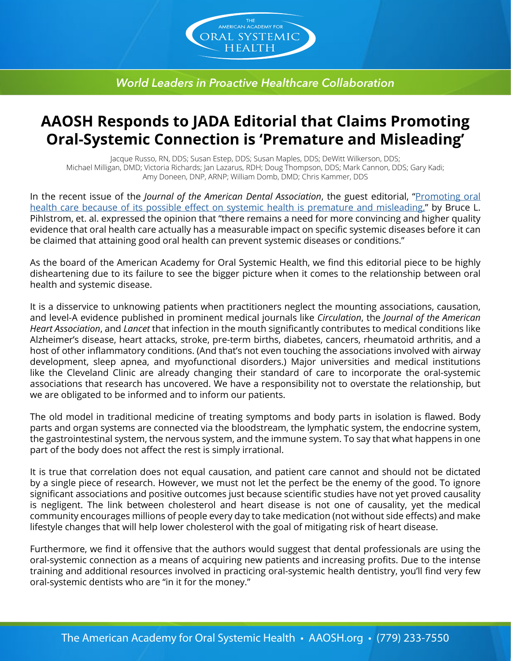

*World Leaders in Proactive Healthcare Collaboration*

## **AAOSH Responds to JADA Editorial that Claims Promoting Oral-Systemic Connection is 'Premature and Misleading'**

Jacque Russo, RN, DDS; Susan Estep, DDS; Susan Maples, DDS; DeWitt Wilkerson, DDS; Michael Milligan, DMD; Victoria Richards; Jan Lazarus, RDH; Doug Thompson, DDS; Mark Cannon, DDS; Gary Kadi; Amy Doneen, DNP, ARNP; William Domb, DMD; Chris Kammer, DDS

In the recent issue of the *Journal of the American Dental Association*, the guest editorial, "[Promoting oral](https://jada.ada.org/article/S0002-8177(18)30240-X/fulltext)  [health care because of its possible effect on systemic health is premature and misleading,](https://jada.ada.org/article/S0002-8177(18)30240-X/fulltext)" by Bruce L. Pihlstrom, et. al. expressed the opinion that "there remains a need for more convincing and higher quality evidence that oral health care actually has a measurable impact on specific systemic diseases before it can be claimed that attaining good oral health can prevent systemic diseases or conditions."

As the board of the American Academy for Oral Systemic Health, we find this editorial piece to be highly disheartening due to its failure to see the bigger picture when it comes to the relationship between oral health and systemic disease.

It is a disservice to unknowing patients when practitioners neglect the mounting associations, causation, and level-A evidence published in prominent medical journals like *Circulation*, the *Journal of the American Heart Association*, and *Lancet* that infection in the mouth significantly contributes to medical conditions like Alzheimer's disease, heart attacks, stroke, pre-term births, diabetes, cancers, rheumatoid arthritis, and a host of other inflammatory conditions. (And that's not even touching the associations involved with airway development, sleep apnea, and myofunctional disorders.) Major universities and medical institutions like the Cleveland Clinic are already changing their standard of care to incorporate the oral-systemic associations that research has uncovered. We have a responsibility not to overstate the relationship, but we are obligated to be informed and to inform our patients.

The old model in traditional medicine of treating symptoms and body parts in isolation is flawed. Body parts and organ systems are connected via the bloodstream, the lymphatic system, the endocrine system, the gastrointestinal system, the nervous system, and the immune system. To say that what happens in one part of the body does not affect the rest is simply irrational.

It is true that correlation does not equal causation, and patient care cannot and should not be dictated by a single piece of research. However, we must not let the perfect be the enemy of the good. To ignore significant associations and positive outcomes just because scientific studies have not yet proved causality is negligent. The link between cholesterol and heart disease is not one of causality, yet the medical community encourages millions of people every day to take medication (not without side effects) and make lifestyle changes that will help lower cholesterol with the goal of mitigating risk of heart disease.

Furthermore, we find it offensive that the authors would suggest that dental professionals are using the oral-systemic connection as a means of acquiring new patients and increasing profits. Due to the intense training and additional resources involved in practicing oral-systemic health dentistry, you'll find very few oral-systemic dentists who are "in it for the money."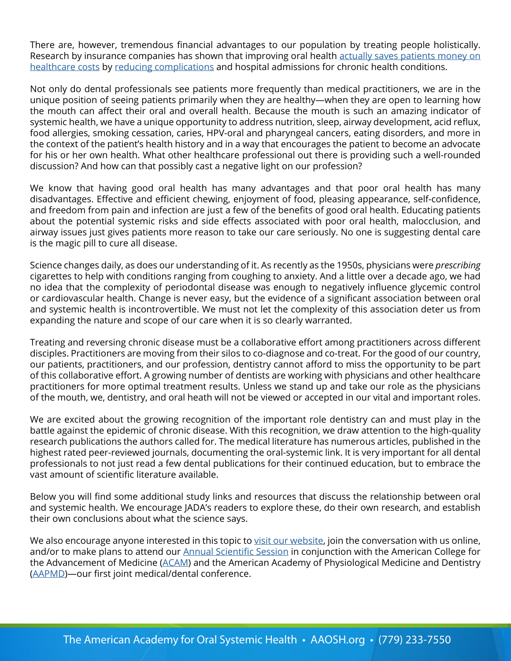There are, however, tremendous financial advantages to our population by treating people holistically. Research by insurance companies has shown that improving oral health [actually saves patients money on](https://www.unitedconcordia.com/docs/united%20concordia%20oral%20health%20whitepaper.pdf) [healthcare costs](https://www.unitedconcordia.com/docs/united%20concordia%20oral%20health%20whitepaper.pdf) by [reducing complications](https://www.ncbi.nlm.nih.gov/pubmed/24953519) and hospital admissions for chronic health conditions.

Not only do dental professionals see patients more frequently than medical practitioners, we are in the unique position of seeing patients primarily when they are healthy—when they are open to learning how the mouth can affect their oral and overall health. Because the mouth is such an amazing indicator of systemic health, we have a unique opportunity to address nutrition, sleep, airway development, acid reflux, food allergies, smoking cessation, caries, HPV-oral and pharyngeal cancers, eating disorders, and more in the context of the patient's health history and in a way that encourages the patient to become an advocate for his or her own health. What other healthcare professional out there is providing such a well-rounded discussion? And how can that possibly cast a negative light on our profession?

We know that having good oral health has many advantages and that poor oral health has many disadvantages. Effective and efficient chewing, enjoyment of food, pleasing appearance, self-confidence, and freedom from pain and infection are just a few of the benefits of good oral health. Educating patients about the potential systemic risks and side effects associated with poor oral health, malocclusion, and airway issues just gives patients more reason to take our care seriously. No one is suggesting dental care is the magic pill to cure all disease.

Science changes daily, as does our understanding of it. As recently as the 1950s, physicians were *prescribing* cigarettes to help with conditions ranging from coughing to anxiety. And a little over a decade ago, we had no idea that the complexity of periodontal disease was enough to negatively influence glycemic control or cardiovascular health. Change is never easy, but the evidence of a significant association between oral and systemic health is incontrovertible. We must not let the complexity of this association deter us from expanding the nature and scope of our care when it is so clearly warranted.

Treating and reversing chronic disease must be a collaborative effort among practitioners across different disciples. Practitioners are moving from their silos to co-diagnose and co-treat. For the good of our country, our patients, practitioners, and our profession, dentistry cannot afford to miss the opportunity to be part of this collaborative effort. A growing number of dentists are working with physicians and other healthcare practitioners for more optimal treatment results. Unless we stand up and take our role as the physicians of the mouth, we, dentistry, and oral heath will not be viewed or accepted in our vital and important roles.

We are excited about the growing recognition of the important role dentistry can and must play in the battle against the epidemic of chronic disease. With this recognition, we draw attention to the high-quality research publications the authors called for. The medical literature has numerous articles, published in the highest rated peer-reviewed journals, documenting the oral-systemic link. It is very important for all dental professionals to not just read a few dental publications for their continued education, but to embrace the vast amount of scientific literature available.

Below you will find some additional study links and resources that discuss the relationship between oral and systemic health. We encourage JADA's readers to explore these, do their own research, and establish their own conclusions about what the science says.

We also encourage anyone interested in this topic to [visit our website](http://aaosh.org), join the conversation with us online, and/or to make plans to attend our **Annual Scientific Session** in conjunction with the American College for the Advancement of Medicine ([ACAM\)](https://www.acam.org/) and the American Academy of Physiological Medicine and Dentistry [\(AAPMD\)](https://www.aapmd.org/)—our first joint medical/dental conference.